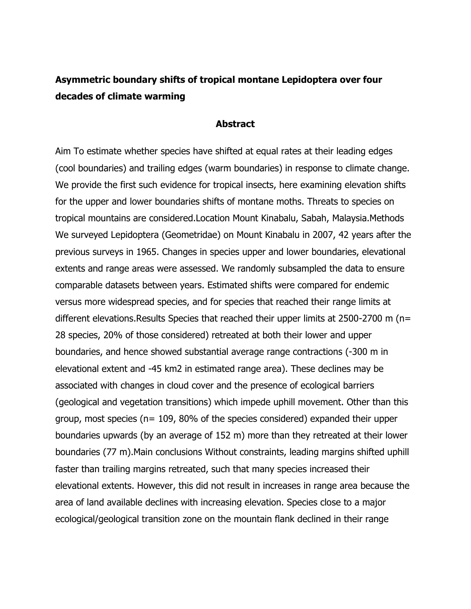## **Asymmetric boundary shifts of tropical montane Lepidoptera over four decades of climate warming**

## **Abstract**

Aim To estimate whether species have shifted at equal rates at their leading edges (cool boundaries) and trailing edges (warm boundaries) in response to climate change. We provide the first such evidence for tropical insects, here examining elevation shifts for the upper and lower boundaries shifts of montane moths. Threats to species on tropical mountains are considered.Location Mount Kinabalu, Sabah, Malaysia.Methods We surveyed Lepidoptera (Geometridae) on Mount Kinabalu in 2007, 42 years after the previous surveys in 1965. Changes in species upper and lower boundaries, elevational extents and range areas were assessed. We randomly subsampled the data to ensure comparable datasets between years. Estimated shifts were compared for endemic versus more widespread species, and for species that reached their range limits at different elevations.Results Species that reached their upper limits at 2500-2700 m (n= 28 species, 20% of those considered) retreated at both their lower and upper boundaries, and hence showed substantial average range contractions (-300 m in elevational extent and -45 km2 in estimated range area). These declines may be associated with changes in cloud cover and the presence of ecological barriers (geological and vegetation transitions) which impede uphill movement. Other than this group, most species ( $n= 109$ , 80% of the species considered) expanded their upper boundaries upwards (by an average of 152 m) more than they retreated at their lower boundaries (77 m).Main conclusions Without constraints, leading margins shifted uphill faster than trailing margins retreated, such that many species increased their elevational extents. However, this did not result in increases in range area because the area of land available declines with increasing elevation. Species close to a major ecological/geological transition zone on the mountain flank declined in their range